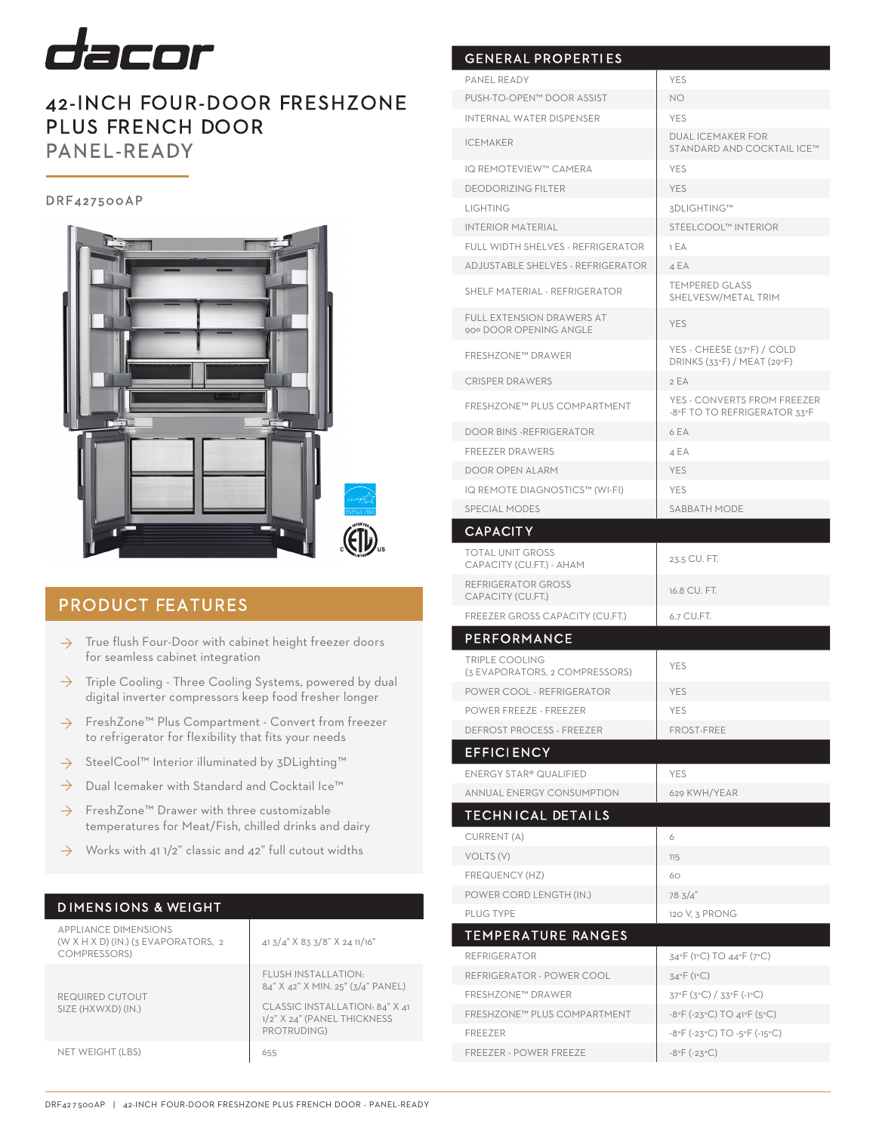

# 42-INCH FOUR-DOOR FRESHZONE PLUS FRENCH DOOR PANEL-READY

### DRF427500AP



## PRODUCT FEATURES

- True flush Four-Door with cabinet height freezer doors for seamless cabinet integration ◊
- Triple Cooling Three Cooling Systems, powered by dual digital inverter compressors keep food fresher longer ◊
- FreshZone™ Plus Compartment Convert from freezer to refrigerator for flexibility that fits your needs ◊
- SteelCool™ Interior illuminated by 3DLighting™ ◊
- Dual Icemaker with Standard and Cocktail Ice™ ◊
- FreshZone™ Drawer with three customizable temperatures for Meat/Fish, chilled drinks and dairy ◊
- Works with 41 1/2" classic and 42" full cutout widths ◊

### D IMENS IONS & WEIGHT

| <b>APPLIANCE DIMENSIONS</b><br>(W X H X D) (IN.) ( $3$ EVAPORATORS, $2$<br>COMPRESSORS) | 41 3/4" X 83 3/8" X 24 11/16"                                                                                                            |
|-----------------------------------------------------------------------------------------|------------------------------------------------------------------------------------------------------------------------------------------|
| REQUIRED CUTOUT<br>SIZE (HXWXD) (IN.)                                                   | FLUSH INSTALLATION.<br>84" X 42" X MIN. 25" (3/4" PANEL)<br>CLASSIC INSTALLATION: 84" X 41<br>1/2" X 24" (PANEL THICKNESS<br>PROTRUDING) |
| NET WEIGHT (LBS)                                                                        | 655                                                                                                                                      |

| PANEL READY                                                | <b>YES</b>                                                  |
|------------------------------------------------------------|-------------------------------------------------------------|
| PUSH-TO-OPEN™ DOOR ASSIST                                  | NO.                                                         |
| <b>INTERNAL WATER DISPENSER</b>                            | <b>YES</b>                                                  |
| <b>ICEMAKER</b>                                            | <b>DUAL ICEMAKER FOR</b><br>STANDARD AND COCKTAIL ICE™      |
| IQ REMOTEVIEW™ CAMERA                                      | <b>YES</b>                                                  |
| <b>DEODORIZING FILTER</b>                                  | <b>YES</b>                                                  |
| <b>LIGHTING</b>                                            | 3DLIGHTING™                                                 |
| <b>INTERIOR MATERIAL</b>                                   | STEELCOOL™ INTERIOR                                         |
| FULL WIDTH SHELVES - REFRIGERATOR                          | 1 EA                                                        |
| ADJUSTABLE SHELVES - REFRIGERATOR                          | 4 E A                                                       |
| SHELF MATERIAL - REFRIGERATOR                              | <b>TEMPERED GLASS</b><br>SHELVESW/METAL TRIM                |
| <b>FULL EXTENSION DRAWERS AT</b><br>90° DOOR OPENING ANGLE | <b>YES</b>                                                  |
| <b>FRESHZONE™ DRAWER</b>                                   | YES - CHEESE (37°F) / COLD<br>DRINKS (33°F) / MEAT (29°F)   |
| <b>CRISPER DRAWERS</b>                                     | 2 EA                                                        |
| FRESHZONE™ PLUS COMPARTMENT                                | YES - CONVERTS FROM FREEZER<br>-8°F TO TO REFRIGERATOR 33°F |
| <b>DOOR BINS -REFRIGERATOR</b>                             | 6 EA                                                        |
| <b>FREEZER DRAWERS</b>                                     | 4 EA                                                        |
| DOOR OPEN ALARM                                            | <b>YES</b>                                                  |
| IQ REMOTE DIAGNOSTICS™ (WI-FI)                             | <b>YES</b>                                                  |
| <b>SPECIAL MODES</b>                                       | SABBATH MODE                                                |
| <b>CAPACITY</b>                                            |                                                             |
| <b>TOTAL UNIT GROSS</b><br>CAPACITY (CU.FT.) - AHAM        | 23.5 CU. FT.                                                |
| REFRIGERATOR GROSS<br>CAPACITY (CU.FT.)                    | 16.8 CU. FT.                                                |
| FREEZER GROSS CAPACITY (CU.FT.)                            | 6.7 CU.FT.                                                  |
| <b>PERFORMANCE</b>                                         |                                                             |
|                                                            |                                                             |
| <b>TRIPLE COOLING</b><br>(3 EVAPORATORS, 2 COMPRESSORS)    | <b>YES</b>                                                  |
| POWER COOL - REFRIGERATOR                                  | YES                                                         |
| <b>POWER FREEZE - FREEZER</b>                              | YES                                                         |
| DEFROST PROCESS - FREEZER                                  | <b>FROST-FREE</b>                                           |
| <b>EFFICIENCY</b>                                          |                                                             |
| ENERGY STAR® QUALIFIED                                     | <b>YES</b>                                                  |
| <b>ANNUAL ENERGY CONSUMPTION</b>                           | 629 KWH/YEAR                                                |
|                                                            |                                                             |
| <b>TECHNICAL DETAILS</b>                                   |                                                             |
| CURRENT (A)                                                | 6                                                           |
| VOLTS (V)<br>FREQUENCY (HZ)                                | 115<br>60                                                   |
|                                                            |                                                             |
| POWER CORD LENGTH (IN.)<br>PLUG TYPE                       | 78 3/4"<br>120 V, 3 PRONG                                   |
|                                                            |                                                             |
| TEMPERATURE RANGES                                         |                                                             |
| <b>REFRIGERATOR</b>                                        | 34°F (1°C) TO 44°F (7°C)                                    |
| REFRIGERATOR - POWER COOL<br><b>FRESHZONE™ DRAWER</b>      | $34^{\circ}F(1^{\circ}C)$                                   |
| FRESHZONE™ PLUS COMPARTMENT                                | 37°F (3°C) / 33°F (-1°C)<br>-8°F (-23°C) TO 41°F (5°C)      |
| FREEZER                                                    | $-8$ °F (-23°C) TO -5°F (-15°C)                             |
| <b>FREEZER - POWER FREEZE</b>                              | $-8$ °F (-23°C)                                             |